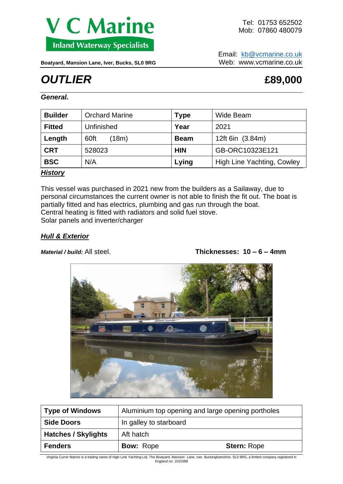

Email: [kb@vcmarine.co.uk](mailto:kb@vcmarine.co.uk) Boatyard, Mansion Lane, Iver, Bucks, SL0 9RG<br>Web: www.vcmarine.co.uk

# *OUTLIER* **£89,000**

*General.*

| <b>Builder</b> | <b>Orchard Marine</b> | <b>Type</b> | Wide Beam                  |
|----------------|-----------------------|-------------|----------------------------|
| <b>Fitted</b>  | Unfinished            | Year        | 2021                       |
| Length         | 60ft<br>(18m)         | <b>Beam</b> | 12ft 6in (3.84m)           |
| <b>CRT</b>     | 528023                | <b>HIN</b>  | GB-ORC10323E121            |
| <b>BSC</b>     | N/A                   | Lying       | High Line Yachting, Cowley |

## *History*

This vessel was purchased in 2021 new from the builders as a Sailaway, due to personal circumstances the current owner is not able to finish the fit out. The boat is partially fitted and has electrics, plumbing and gas run through the boat. Central heating is fitted with radiators and solid fuel stove. Solar panels and inverter/charger

## *Hull & Exterior*

*Material / build:* All steel. **Thicknesses: 10 – 6 – 4mm**



| <b>Type of Windows</b>                      | Aluminium top opening and large opening portholes |                    |
|---------------------------------------------|---------------------------------------------------|--------------------|
| <b>Side Doors</b><br>In galley to starboard |                                                   |                    |
| <b>Hatches / Skylights</b>                  | Aft hatch                                         |                    |
| <b>Fenders</b>                              | <b>Bow: Rope</b>                                  | <b>Stern: Rope</b> |

Virginia Currer Marine is a trading name of High Line Yachting Ltd, The Boatyard, Mansion Lane, Iver, Buckinghamshire, SL0 9RG, a limited company registered in England no: 1015388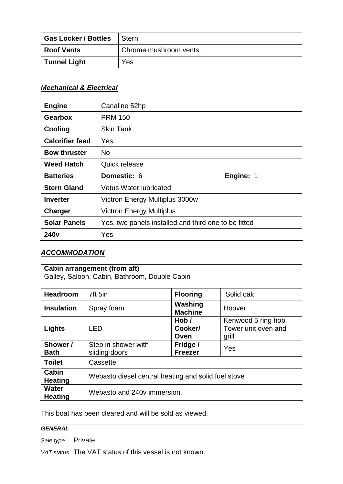| <b>Gas Locker / Bottles</b> | <b>Stern</b>           |
|-----------------------------|------------------------|
| <b>Roof Vents</b>           | Chrome mushroom vents. |
| <b>Tunnel Light</b>         | Yes                    |

## *Mechanical & Electrical*

| <b>Engine</b>          | Canaline 52hp                                        |  |
|------------------------|------------------------------------------------------|--|
| <b>Gearbox</b>         | <b>PRM 150</b>                                       |  |
| Cooling                | <b>Skin Tank</b>                                     |  |
| <b>Calorifier feed</b> | Yes                                                  |  |
| <b>Bow thruster</b>    | <b>No</b>                                            |  |
| <b>Weed Hatch</b>      | Quick release                                        |  |
| <b>Batteries</b>       | Domestic: 6<br>Engine: 1                             |  |
| <b>Stern Gland</b>     | <b>Vetus Water lubricated</b>                        |  |
| <b>Inverter</b>        | Victron Energy Multiplus 3000w                       |  |
| <b>Charger</b>         | <b>Victron Energy Multiplus</b>                      |  |
| <b>Solar Panels</b>    | Yes, two panels installed and third one to be fitted |  |
| 240 <sub>v</sub>       | Yes                                                  |  |

## *ACCOMMODATION*

| <b>Cabin arrangement (from aft)</b><br>Galley, Saloon, Cabin, Bathroom, Double Cabin |                                                     |                            |                                                     |  |  |  |
|--------------------------------------------------------------------------------------|-----------------------------------------------------|----------------------------|-----------------------------------------------------|--|--|--|
| <b>Headroom</b>                                                                      | 7ft 5in                                             | <b>Flooring</b>            | Solid oak                                           |  |  |  |
| <b>Insulation</b>                                                                    | Spray foam                                          | Washing<br><b>Machine</b>  | Hoover                                              |  |  |  |
| Lights                                                                               | <b>LED</b>                                          | Hob/<br>Cooker/<br>Oven    | Kenwood 5 ring hob.<br>Tower unit oven and<br>grill |  |  |  |
| Shower /<br><b>Bath</b>                                                              | Step in shower with<br>sliding doors                | Fridge /<br><b>Freezer</b> | Yes                                                 |  |  |  |
| <b>Toilet</b>                                                                        | Cassette                                            |                            |                                                     |  |  |  |
| Cabin<br><b>Heating</b>                                                              | Webasto diesel central heating and solid fuel stove |                            |                                                     |  |  |  |
| <b>Water</b><br><b>Heating</b>                                                       | Webasto and 240y immersion.                         |                            |                                                     |  |  |  |

This boat has been cleared and will be sold as viewed.

## *GENERAL*

*Sale type:* Private

*VAT status:* The VAT status of this vessel is not known.